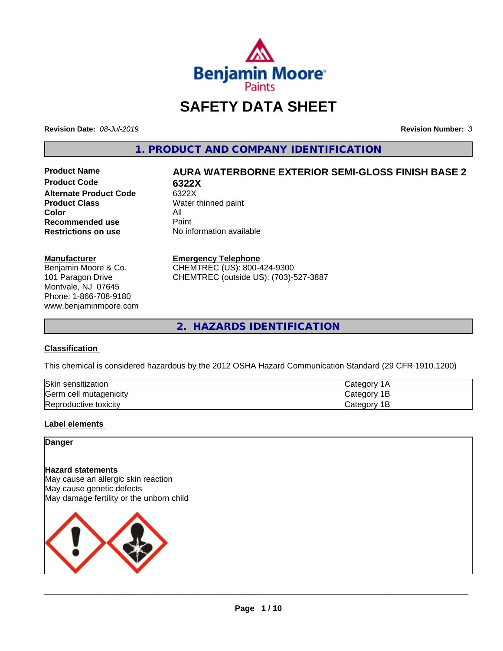

## **SAFETY DATA SHEET**

**Revision Date:** *08-Jul-2019* **Revision Number:** *3*

**1. PRODUCT AND COMPANY IDENTIFICATION**

**Product Code 6322X Alternate Product Code** 6322X<br> **Product Class** Water t **Color** All<br> **Recommended use** Paint **Recommended use**<br>Restrictions on use

# **Product Name AURA WATERBORNE EXTERIOR SEMI-GLOSS FINISH BASE 2**

**Water thinned paint Restrictions on use** No information available

#### **Manufacturer**

Benjamin Moore & Co. 101 Paragon Drive Montvale, NJ 07645 Phone: 1-866-708-9180 www.benjaminmoore.com

#### **Emergency Telephone**

CHEMTREC (US): 800-424-9300 CHEMTREC (outside US): (703)-527-3887

**2. HAZARDS IDENTIFICATION**

#### **Classification**

This chemical is considered hazardous by the 2012 OSHA Hazard Communication Standard (29 CFR 1910.1200)

| Skin<br>sensitization            |       |
|----------------------------------|-------|
| Germ<br>. mutagenicitv<br>າ cell | -     |
| Reproductive<br>toxicity         | <br>- |

#### **Label elements**

#### **Danger**

#### **Hazard statements**

May cause an allergic skin reaction May cause genetic defects May damage fertility or the unborn child

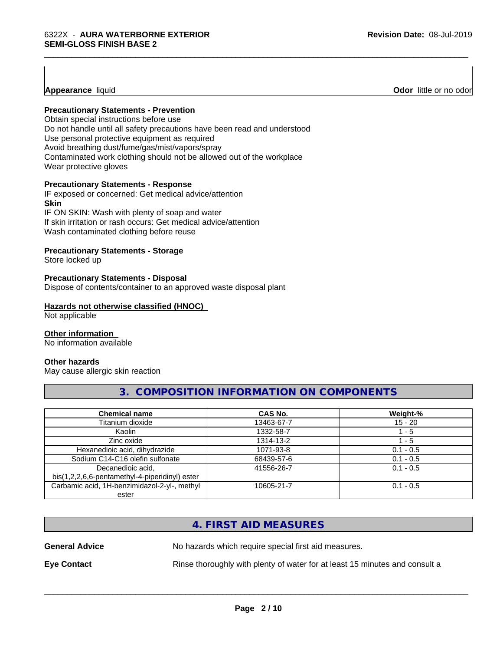**Appearance** liquid

#### **Precautionary Statements - Prevention**

Obtain special instructions before use Do not handle until all safety precautions have been read and understood Use personal protective equipment as required Avoid breathing dust/fume/gas/mist/vapors/spray Contaminated work clothing should not be allowed out of the workplace Wear protective gloves

#### **Precautionary Statements - Response**

IF exposed or concerned: Get medical advice/attention **Skin** IF ON SKIN: Wash with plenty of soap and water

If skin irritation or rash occurs: Get medical advice/attention Wash contaminated clothing before reuse

#### **Precautionary Statements - Storage**

Store locked up

#### **Precautionary Statements - Disposal**

Dispose of contents/container to an approved waste disposal plant

#### **Hazards not otherwise classified (HNOC)**

Not applicable

#### **Other information**

No information available

#### **Other hazards**

May cause allergic skin reaction

## **3. COMPOSITION INFORMATION ON COMPONENTS**

| <b>Chemical name</b>                                                | <b>CAS No.</b> | Weight-%    |
|---------------------------------------------------------------------|----------------|-------------|
| Titanium dioxide                                                    | 13463-67-7     | $15 - 20$   |
| Kaolin                                                              | 1332-58-7      | - 5         |
| Zinc oxide                                                          | 1314-13-2      | 1 - 5       |
| Hexanedioic acid, dihydrazide                                       | 1071-93-8      | $0.1 - 0.5$ |
| Sodium C14-C16 olefin sulfonate                                     | 68439-57-6     | $0.1 - 0.5$ |
| Decanedioic acid,<br>bis(1,2,2,6,6-pentamethyl-4-piperidinyl) ester | 41556-26-7     | $0.1 - 0.5$ |
| Carbamic acid, 1H-benzimidazol-2-yl-, methyl<br>ester               | 10605-21-7     | $0.1 - 0.5$ |

## **4. FIRST AID MEASURES**

**General Advice** No hazards which require special first aid measures.

**Eye Contact Rinse thoroughly with plenty of water for at least 15 minutes and consult a** 

 $\overline{\phantom{a}}$  ,  $\overline{\phantom{a}}$  ,  $\overline{\phantom{a}}$  ,  $\overline{\phantom{a}}$  ,  $\overline{\phantom{a}}$  ,  $\overline{\phantom{a}}$  ,  $\overline{\phantom{a}}$  ,  $\overline{\phantom{a}}$  ,  $\overline{\phantom{a}}$  ,  $\overline{\phantom{a}}$  ,  $\overline{\phantom{a}}$  ,  $\overline{\phantom{a}}$  ,  $\overline{\phantom{a}}$  ,  $\overline{\phantom{a}}$  ,  $\overline{\phantom{a}}$  ,  $\overline{\phantom{a}}$ 

\_\_\_\_\_\_\_\_\_\_\_\_\_\_\_\_\_\_\_\_\_\_\_\_\_\_\_\_\_\_\_\_\_\_\_\_\_\_\_\_\_\_\_\_\_\_\_\_\_\_\_\_\_\_\_\_\_\_\_\_\_\_\_\_\_\_\_\_\_\_\_\_\_\_\_\_\_\_\_\_\_\_\_\_\_\_\_\_\_\_\_\_\_

**Odor** little or no odor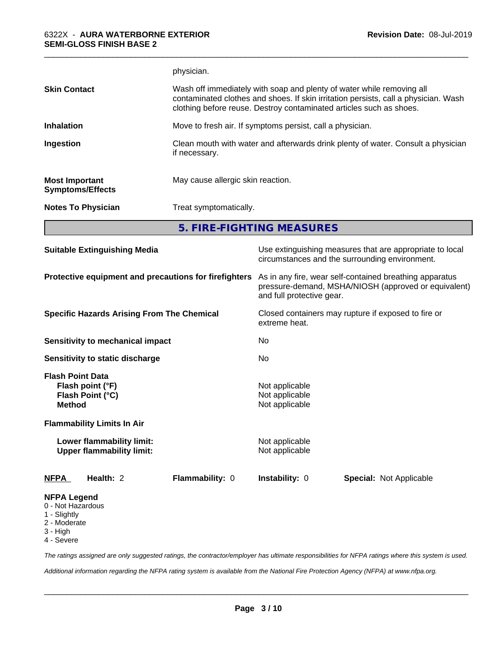|                                                  | physician.                                                                                                                                                                                                                          |
|--------------------------------------------------|-------------------------------------------------------------------------------------------------------------------------------------------------------------------------------------------------------------------------------------|
| <b>Skin Contact</b>                              | Wash off immediately with soap and plenty of water while removing all<br>contaminated clothes and shoes. If skin irritation persists, call a physician. Wash<br>clothing before reuse. Destroy contaminated articles such as shoes. |
| <b>Inhalation</b>                                | Move to fresh air. If symptoms persist, call a physician.                                                                                                                                                                           |
| Ingestion                                        | Clean mouth with water and afterwards drink plenty of water. Consult a physician<br>if necessary.                                                                                                                                   |
| <b>Most Important</b><br><b>Symptoms/Effects</b> | May cause allergic skin reaction.                                                                                                                                                                                                   |
| <b>Notes To Physician</b>                        | Treat symptomatically.                                                                                                                                                                                                              |

\_\_\_\_\_\_\_\_\_\_\_\_\_\_\_\_\_\_\_\_\_\_\_\_\_\_\_\_\_\_\_\_\_\_\_\_\_\_\_\_\_\_\_\_\_\_\_\_\_\_\_\_\_\_\_\_\_\_\_\_\_\_\_\_\_\_\_\_\_\_\_\_\_\_\_\_\_\_\_\_\_\_\_\_\_\_\_\_\_\_\_\_\_

**5. FIRE-FIGHTING MEASURES**

| <b>Suitable Extinguishing Media</b>                                              |                 | Use extinguishing measures that are appropriate to local<br>circumstances and the surrounding environment.                                   |                                |  |
|----------------------------------------------------------------------------------|-----------------|----------------------------------------------------------------------------------------------------------------------------------------------|--------------------------------|--|
| Protective equipment and precautions for firefighters                            |                 | As in any fire, wear self-contained breathing apparatus<br>pressure-demand, MSHA/NIOSH (approved or equivalent)<br>and full protective gear. |                                |  |
| <b>Specific Hazards Arising From The Chemical</b>                                |                 | Closed containers may rupture if exposed to fire or<br>extreme heat.                                                                         |                                |  |
| Sensitivity to mechanical impact                                                 |                 | No.                                                                                                                                          |                                |  |
| Sensitivity to static discharge                                                  |                 | No.                                                                                                                                          |                                |  |
| <b>Flash Point Data</b><br>Flash point (°F)<br>Flash Point (°C)<br><b>Method</b> |                 | Not applicable<br>Not applicable<br>Not applicable                                                                                           |                                |  |
| <b>Flammability Limits In Air</b>                                                |                 |                                                                                                                                              |                                |  |
| Lower flammability limit:<br><b>Upper flammability limit:</b>                    |                 | Not applicable<br>Not applicable                                                                                                             |                                |  |
| Health: 2<br><b>NFPA</b>                                                         | Flammability: 0 | <b>Instability: 0</b>                                                                                                                        | <b>Special: Not Applicable</b> |  |
| <b>NFPA Legend</b><br>0 - Not Hazardous<br>1 - Slightly                          |                 |                                                                                                                                              |                                |  |

2 - Moderate

3 - High

4 - Severe

*The ratings assigned are only suggested ratings, the contractor/employer has ultimate responsibilities for NFPA ratings where this system is used.*

*Additional information regarding the NFPA rating system is available from the National Fire Protection Agency (NFPA) at www.nfpa.org.*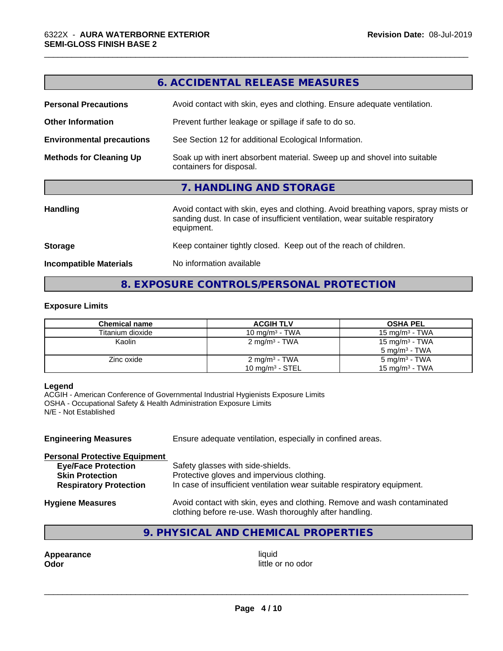|                                  | 6. ACCIDENTAL RELEASE MEASURES                                                                                                                                                   |  |  |
|----------------------------------|----------------------------------------------------------------------------------------------------------------------------------------------------------------------------------|--|--|
| <b>Personal Precautions</b>      | Avoid contact with skin, eyes and clothing. Ensure adequate ventilation.                                                                                                         |  |  |
| <b>Other Information</b>         | Prevent further leakage or spillage if safe to do so.                                                                                                                            |  |  |
| <b>Environmental precautions</b> | See Section 12 for additional Ecological Information.                                                                                                                            |  |  |
| <b>Methods for Cleaning Up</b>   | Soak up with inert absorbent material. Sweep up and shovel into suitable<br>containers for disposal.                                                                             |  |  |
|                                  | 7. HANDLING AND STORAGE                                                                                                                                                          |  |  |
| <b>Handling</b>                  | Avoid contact with skin, eyes and clothing. Avoid breathing vapors, spray mists or<br>sanding dust. In case of insufficient ventilation, wear suitable respiratory<br>equipment. |  |  |
| <b>Storage</b>                   | Keep container tightly closed. Keep out of the reach of children.                                                                                                                |  |  |
| <b>Incompatible Materials</b>    | No information available                                                                                                                                                         |  |  |
|                                  |                                                                                                                                                                                  |  |  |

\_\_\_\_\_\_\_\_\_\_\_\_\_\_\_\_\_\_\_\_\_\_\_\_\_\_\_\_\_\_\_\_\_\_\_\_\_\_\_\_\_\_\_\_\_\_\_\_\_\_\_\_\_\_\_\_\_\_\_\_\_\_\_\_\_\_\_\_\_\_\_\_\_\_\_\_\_\_\_\_\_\_\_\_\_\_\_\_\_\_\_\_\_

## **8. EXPOSURE CONTROLS/PERSONAL PROTECTION**

#### **Exposure Limits**

| Chemical name    | <b>ACGIH TLV</b>         | <b>OSHA PEL</b>            |
|------------------|--------------------------|----------------------------|
| Titanium dioxide | 10 mg/m $3$ - TWA        | 15 mg/m $3$ - TWA          |
| Kaolin           | $2 \text{ mg/m}^3$ - TWA | 15 mg/m <sup>3</sup> - TWA |
|                  |                          | 5 mg/m $3$ - TWA           |
| Zinc oxide       | $2 \text{ mg/m}^3$ - TWA | 5 mg/m <sup>3</sup> - TWA  |
|                  | 10 mg/m $3$ - STEL       | 15 mg/m <sup>3</sup> - TWA |

#### **Legend**

ACGIH - American Conference of Governmental Industrial Hygienists Exposure Limits OSHA - Occupational Safety & Health Administration Exposure Limits N/E - Not Established

| <b>Engineering Measures</b>          | Ensure adequate ventilation, especially in confined areas.                                                                          |
|--------------------------------------|-------------------------------------------------------------------------------------------------------------------------------------|
| <b>Personal Protective Equipment</b> |                                                                                                                                     |
| <b>Eye/Face Protection</b>           | Safety glasses with side-shields.                                                                                                   |
| <b>Skin Protection</b>               | Protective gloves and impervious clothing.                                                                                          |
| <b>Respiratory Protection</b>        | In case of insufficient ventilation wear suitable respiratory equipment.                                                            |
| <b>Hygiene Measures</b>              | Avoid contact with skin, eyes and clothing. Remove and wash contaminated<br>clothing before re-use. Wash thoroughly after handling. |

## **9. PHYSICAL AND CHEMICAL PROPERTIES**

**Appearance** liquid **and a limit of the contract of the contract of the contract of the contract of the contract of the contract of the contract of the contract of the contract of the contract of the contract of the contra** 

little or no odor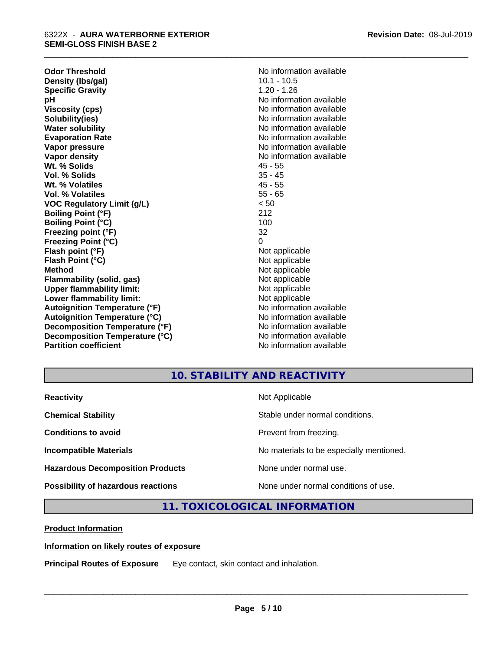| <b>Odor Threshold</b>                | No information available |
|--------------------------------------|--------------------------|
| Density (Ibs/gal)                    | $10.1 - 10.5$            |
| <b>Specific Gravity</b>              | $1.20 - 1.26$            |
| pН                                   | No information available |
| <b>Viscosity (cps)</b>               | No information available |
| Solubility(ies)                      | No information available |
| <b>Water solubility</b>              | No information available |
| <b>Evaporation Rate</b>              | No information available |
| Vapor pressure                       | No information available |
| <b>Vapor density</b>                 | No information available |
| Wt. % Solids                         | $45 - 55$                |
| Vol. % Solids                        | $35 - 45$                |
| Wt. % Volatiles                      | $45 - 55$                |
| <b>Vol. % Volatiles</b>              | $55 - 65$                |
| <b>VOC Regulatory Limit (g/L)</b>    | < 50                     |
| <b>Boiling Point (°F)</b>            | 212                      |
| <b>Boiling Point (°C)</b>            | 100                      |
| Freezing point (°F)                  | 32                       |
| <b>Freezing Point (°C)</b>           | 0                        |
| Flash point (°F)                     | Not applicable           |
| Flash Point (°C)                     | Not applicable           |
| <b>Method</b>                        | Not applicable           |
| Flammability (solid, gas)            | Not applicable           |
| <b>Upper flammability limit:</b>     | Not applicable           |
| Lower flammability limit:            | Not applicable           |
| <b>Autoignition Temperature (°F)</b> | No information available |
| <b>Autoignition Temperature (°C)</b> | No information available |
| Decomposition Temperature (°F)       | No information available |
| Decomposition Temperature (°C)       | No information available |
| <b>Partition coefficient</b>         | No information available |

## **10. STABILITY AND REACTIVITY**

\_\_\_\_\_\_\_\_\_\_\_\_\_\_\_\_\_\_\_\_\_\_\_\_\_\_\_\_\_\_\_\_\_\_\_\_\_\_\_\_\_\_\_\_\_\_\_\_\_\_\_\_\_\_\_\_\_\_\_\_\_\_\_\_\_\_\_\_\_\_\_\_\_\_\_\_\_\_\_\_\_\_\_\_\_\_\_\_\_\_\_\_\_

| <b>Reactivity</b>                       | Not Applicable                           |
|-----------------------------------------|------------------------------------------|
| <b>Chemical Stability</b>               | Stable under normal conditions.          |
| <b>Conditions to avoid</b>              | Prevent from freezing.                   |
| <b>Incompatible Materials</b>           | No materials to be especially mentioned. |
| <b>Hazardous Decomposition Products</b> | None under normal use.                   |
| Possibility of hazardous reactions      | None under normal conditions of use.     |

## **11. TOXICOLOGICAL INFORMATION**

**Product Information**

#### **Information on likely routes of exposure**

**Principal Routes of Exposure** Eye contact, skin contact and inhalation.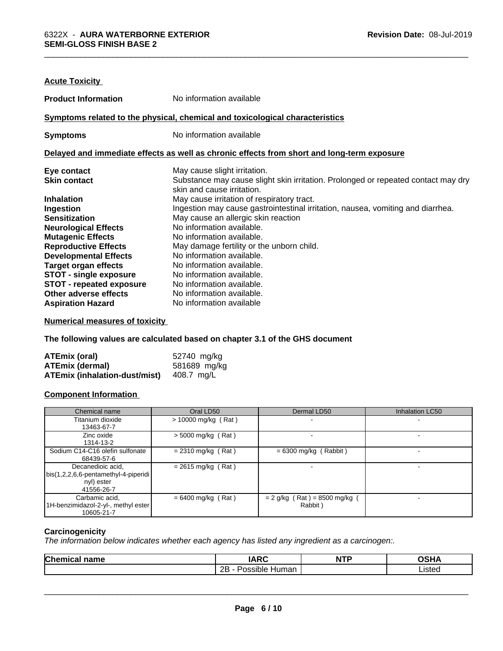| <b>Acute Toxicity</b>                                                        |                                                                                            |  |  |
|------------------------------------------------------------------------------|--------------------------------------------------------------------------------------------|--|--|
| <b>Product Information</b>                                                   | No information available                                                                   |  |  |
| Symptoms related to the physical, chemical and toxicological characteristics |                                                                                            |  |  |
| <b>Symptoms</b>                                                              | No information available                                                                   |  |  |
|                                                                              | Delayed and immediate effects as well as chronic effects from short and long-term exposure |  |  |
| Eye contact                                                                  | May cause slight irritation.                                                               |  |  |
| <b>Skin contact</b>                                                          | Substance may cause slight skin irritation. Prolonged or repeated contact may dry          |  |  |
|                                                                              | skin and cause irritation.                                                                 |  |  |
| <b>Inhalation</b>                                                            | May cause irritation of respiratory tract.                                                 |  |  |
| Ingestion                                                                    | Ingestion may cause gastrointestinal irritation, nausea, vomiting and diarrhea.            |  |  |
| <b>Sensitization</b>                                                         | May cause an allergic skin reaction                                                        |  |  |
| <b>Neurological Effects</b>                                                  | No information available.                                                                  |  |  |
| <b>Mutagenic Effects</b>                                                     | No information available.                                                                  |  |  |
| <b>Reproductive Effects</b>                                                  | May damage fertility or the unborn child.                                                  |  |  |
| <b>Developmental Effects</b>                                                 | No information available.                                                                  |  |  |
| <b>Target organ effects</b>                                                  | No information available.                                                                  |  |  |
| STOT - single exposure                                                       | No information available.                                                                  |  |  |
| <b>STOT - repeated exposure</b>                                              | No information available.                                                                  |  |  |
| Other adverse effects                                                        | No information available.                                                                  |  |  |
| <b>Aspiration Hazard</b>                                                     | No information available                                                                   |  |  |

**Numerical measures of toxicity**

**The following values are calculated based on chapter 3.1 of the GHS document**

| ATEmix (oral)                        | 52740 mg/kg  |
|--------------------------------------|--------------|
| <b>ATEmix (dermal)</b>               | 581689 mg/kg |
| <b>ATEmix (inhalation-dust/mist)</b> | 408.7 ma/L   |

#### **Component Information**

| Chemical name                                                                         | Oral LD50                    | Dermal LD50                              | <b>Inhalation LC50</b> |
|---------------------------------------------------------------------------------------|------------------------------|------------------------------------------|------------------------|
| Titanium dioxide<br>13463-67-7                                                        | > 10000 mg/kg (Rat)          |                                          |                        |
| Zinc oxide<br>1314-13-2                                                               | $>$ 5000 mg/kg (Rat)         |                                          |                        |
| Sodium C14-C16 olefin sulfonate<br>68439-57-6                                         | $= 2310$ mg/kg (Rat)         | $= 6300$ mg/kg (Rabbit)                  |                        |
| Decanedioic acid,<br>bis(1,2,2,6,6-pentamethyl-4-piperidi<br>nyl) ester<br>41556-26-7 | $= 2615 \text{ mg/kg}$ (Rat) |                                          |                        |
| Carbamic acid,<br>1H-benzimidazol-2-yl-, methyl ester<br>10605-21-7                   | $= 6400$ mg/kg (Rat)         | $= 2$ g/kg (Rat) = 8500 mg/kg<br>Rabbit) |                        |

#### **Carcinogenicity**

*The information below indicateswhether each agency has listed any ingredient as a carcinogen:.*

| <b>Chem</b><br><b>nomo</b><br>ावााा | IADC<br>.                        | <b>NTP</b> | $\sim$ $\sim$ |
|-------------------------------------|----------------------------------|------------|---------------|
|                                     | <br>റല<br>Possible<br>Humar<br>້ |            | ∟ısted        |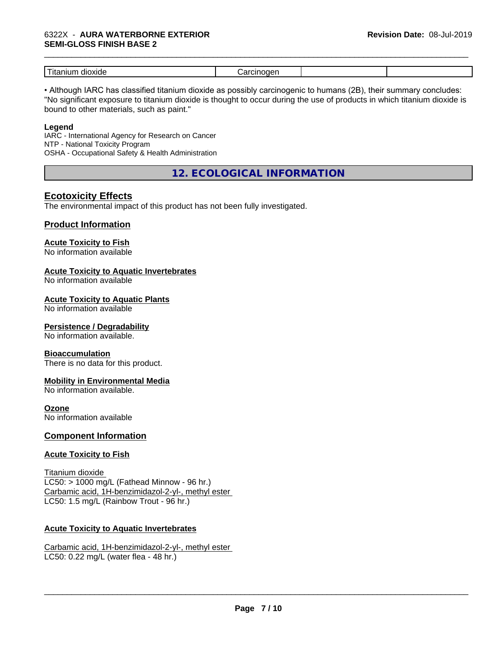#### 6322X - **AURA WATERBORNE EXTERIOR SEMI-GLOSS FINISH BASE 2**

| .<br>ווצנזונ<br>ш |  |  |
|-------------------|--|--|

\_\_\_\_\_\_\_\_\_\_\_\_\_\_\_\_\_\_\_\_\_\_\_\_\_\_\_\_\_\_\_\_\_\_\_\_\_\_\_\_\_\_\_\_\_\_\_\_\_\_\_\_\_\_\_\_\_\_\_\_\_\_\_\_\_\_\_\_\_\_\_\_\_\_\_\_\_\_\_\_\_\_\_\_\_\_\_\_\_\_\_\_\_

• Although IARC has classified titanium dioxide as possibly carcinogenic to humans (2B), their summary concludes: "No significant exposure to titanium dioxide is thought to occur during the use of products in which titanium dioxide is bound to other materials, such as paint."

#### **Legend**

IARC - International Agency for Research on Cancer NTP - National Toxicity Program OSHA - Occupational Safety & Health Administration

**12. ECOLOGICAL INFORMATION**

## **Ecotoxicity Effects**

The environmental impact of this product has not been fully investigated.

#### **Product Information**

## **Acute Toxicity to Fish**

No information available

#### **Acute Toxicity to Aquatic Invertebrates**

No information available

#### **Acute Toxicity to Aquatic Plants**

No information available

#### **Persistence / Degradability**

No information available.

#### **Bioaccumulation**

There is no data for this product.

#### **Mobility in Environmental Media**

No information available.

#### **Ozone**

No information available

#### **Component Information**

#### **Acute Toxicity to Fish**

Titanium dioxide  $LC50:$  > 1000 mg/L (Fathead Minnow - 96 hr.) Carbamic acid, 1H-benzimidazol-2-yl-, methyl ester LC50: 1.5 mg/L (Rainbow Trout - 96 hr.)

#### **Acute Toxicity to Aquatic Invertebrates**

Carbamic acid, 1H-benzimidazol-2-yl-, methyl ester LC50: 0.22 mg/L (water flea - 48 hr.)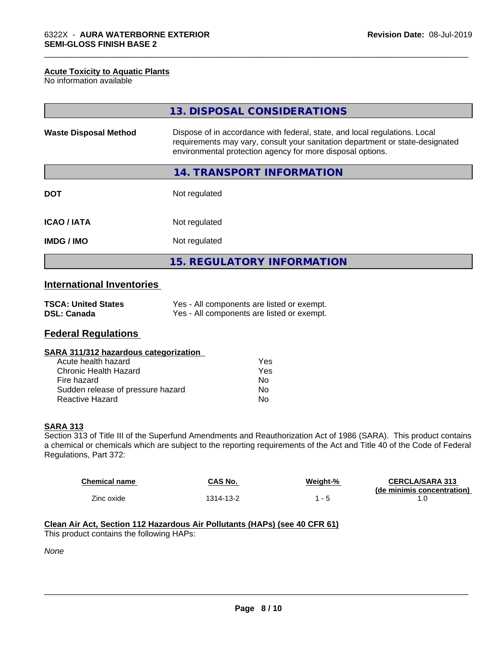#### **Acute Toxicity to Aquatic Plants**

No information available

|                              | 13. DISPOSAL CONSIDERATIONS                                                                                                                                                                                               |
|------------------------------|---------------------------------------------------------------------------------------------------------------------------------------------------------------------------------------------------------------------------|
| <b>Waste Disposal Method</b> | Dispose of in accordance with federal, state, and local regulations. Local<br>requirements may vary, consult your sanitation department or state-designated<br>environmental protection agency for more disposal options. |
|                              | 14. TRANSPORT INFORMATION                                                                                                                                                                                                 |
| <b>DOT</b>                   | Not regulated                                                                                                                                                                                                             |
| <b>ICAO/IATA</b>             | Not regulated                                                                                                                                                                                                             |
| <b>IMDG/IMO</b>              | Not regulated                                                                                                                                                                                                             |
|                              | <b>15. REGULATORY INFORMATION</b>                                                                                                                                                                                         |

\_\_\_\_\_\_\_\_\_\_\_\_\_\_\_\_\_\_\_\_\_\_\_\_\_\_\_\_\_\_\_\_\_\_\_\_\_\_\_\_\_\_\_\_\_\_\_\_\_\_\_\_\_\_\_\_\_\_\_\_\_\_\_\_\_\_\_\_\_\_\_\_\_\_\_\_\_\_\_\_\_\_\_\_\_\_\_\_\_\_\_\_\_

## **International Inventories**

| <b>TSCA: United States</b> | Yes - All components are listed or exempt. |
|----------------------------|--------------------------------------------|
| <b>DSL: Canada</b>         | Yes - All components are listed or exempt. |

## **Federal Regulations**

| SARA 311/312 hazardous categorization |  |
|---------------------------------------|--|
|---------------------------------------|--|

| Acute health hazard               | Yes |
|-----------------------------------|-----|
| Chronic Health Hazard             | Yes |
| Fire hazard                       | Nο  |
| Sudden release of pressure hazard | N٥  |
| Reactive Hazard                   | N٥  |

#### **SARA 313**

Section 313 of Title III of the Superfund Amendments and Reauthorization Act of 1986 (SARA). This product contains a chemical or chemicals which are subject to the reporting requirements of the Act and Title 40 of the Code of Federal Regulations, Part 372:

| Chemical name | CAS No.   | Weight-% | <b>CERCLA/SARA 313</b>     |
|---------------|-----------|----------|----------------------------|
|               |           |          | (de minimis concentration) |
| Zinc oxide    | 1314-13-2 | $-5$     |                            |

## **Clean Air Act,Section 112 Hazardous Air Pollutants (HAPs) (see 40 CFR 61)**

This product contains the following HAPs:

*None*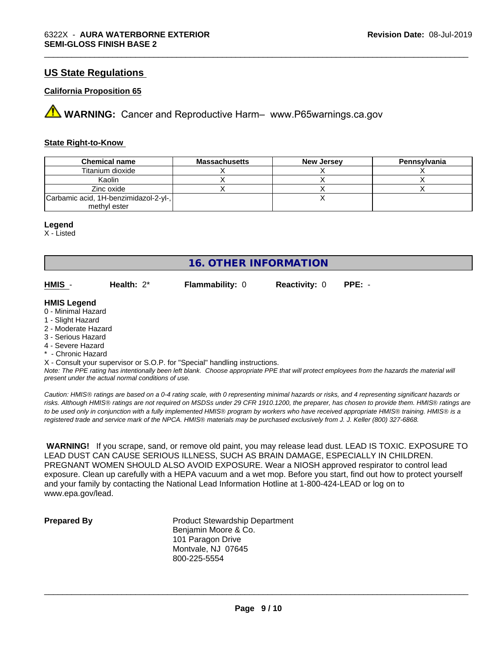### **US State Regulations**

#### **California Proposition 65**

**A** WARNING: Cancer and Reproductive Harm– www.P65warnings.ca.gov

#### **State Right-to-Know**

| <b>Chemical name</b>                  | <b>Massachusetts</b> | <b>New Jersey</b> | Pennsylvania |
|---------------------------------------|----------------------|-------------------|--------------|
| Titanium dioxide                      |                      |                   |              |
| Kaolin                                |                      |                   |              |
| Zinc oxide                            |                      |                   |              |
| Carbamic acid, 1H-benzimidazol-2-yl-, |                      |                   |              |
| methyl ester                          |                      |                   |              |

#### **Legend**

X - Listed

**16. OTHER INFORMATION**

**HMIS** - **Health:** 2\* **Flammability:** 0 **Reactivity:** 0 **PPE:** -

\_\_\_\_\_\_\_\_\_\_\_\_\_\_\_\_\_\_\_\_\_\_\_\_\_\_\_\_\_\_\_\_\_\_\_\_\_\_\_\_\_\_\_\_\_\_\_\_\_\_\_\_\_\_\_\_\_\_\_\_\_\_\_\_\_\_\_\_\_\_\_\_\_\_\_\_\_\_\_\_\_\_\_\_\_\_\_\_\_\_\_\_\_

#### **HMIS Legend**

- 0 Minimal Hazard
- 1 Slight Hazard
- 2 Moderate Hazard
- 3 Serious Hazard
- 4 Severe Hazard
- \* Chronic Hazard

X - Consult your supervisor or S.O.P. for "Special" handling instructions.

*Note: The PPE rating has intentionally been left blank. Choose appropriate PPE that will protect employees from the hazards the material will present under the actual normal conditions of use.*

*Caution: HMISÒ ratings are based on a 0-4 rating scale, with 0 representing minimal hazards or risks, and 4 representing significant hazards or risks. Although HMISÒ ratings are not required on MSDSs under 29 CFR 1910.1200, the preparer, has chosen to provide them. HMISÒ ratings are to be used only in conjunction with a fully implemented HMISÒ program by workers who have received appropriate HMISÒ training. HMISÒ is a registered trade and service mark of the NPCA. HMISÒ materials may be purchased exclusively from J. J. Keller (800) 327-6868.*

 **WARNING!** If you scrape, sand, or remove old paint, you may release lead dust. LEAD IS TOXIC. EXPOSURE TO LEAD DUST CAN CAUSE SERIOUS ILLNESS, SUCH AS BRAIN DAMAGE, ESPECIALLY IN CHILDREN. PREGNANT WOMEN SHOULD ALSO AVOID EXPOSURE.Wear a NIOSH approved respirator to control lead exposure. Clean up carefully with a HEPA vacuum and a wet mop. Before you start, find out how to protect yourself and your family by contacting the National Lead Information Hotline at 1-800-424-LEAD or log on to www.epa.gov/lead.

**Prepared By** Product Stewardship Department Benjamin Moore & Co. 101 Paragon Drive Montvale, NJ 07645 800-225-5554